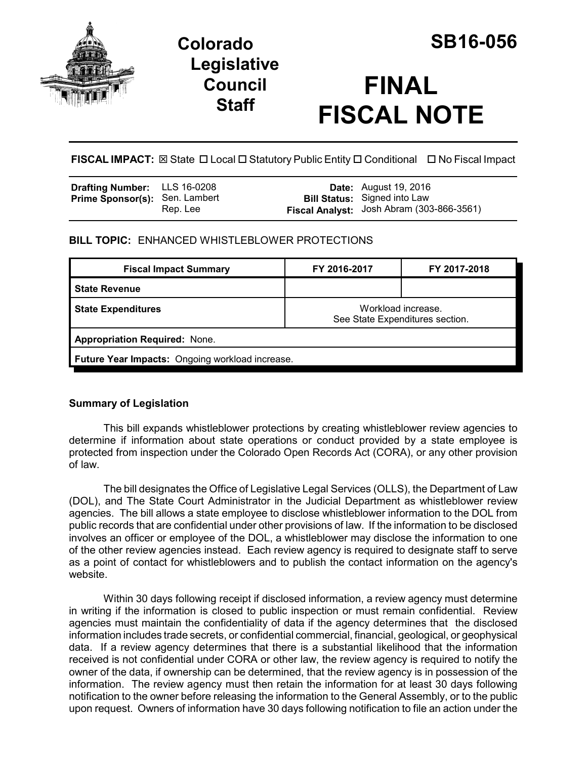

# **Colorado SB16-056 Legislative Council Staff**

# **FINAL FISCAL NOTE**

**FISCAL IMPACT:** ⊠ State □ Local □ Statutory Public Entity □ Conditional □ No Fiscal Impact

| <b>Drafting Number:</b> LLS 16-0208   |          | <b>Date:</b> August 19, 2016              |
|---------------------------------------|----------|-------------------------------------------|
| <b>Prime Sponsor(s):</b> Sen. Lambert |          | <b>Bill Status:</b> Signed into Law       |
|                                       | Rep. Lee | Fiscal Analyst: Josh Abram (303-866-3561) |

# **BILL TOPIC:** ENHANCED WHISTLEBLOWER PROTECTIONS

| <b>Fiscal Impact Summary</b>                    | FY 2016-2017                                          | FY 2017-2018 |  |  |  |
|-------------------------------------------------|-------------------------------------------------------|--------------|--|--|--|
| <b>State Revenue</b>                            |                                                       |              |  |  |  |
| <b>State Expenditures</b>                       | Workload increase.<br>See State Expenditures section. |              |  |  |  |
| <b>Appropriation Required: None.</b>            |                                                       |              |  |  |  |
| Future Year Impacts: Ongoing workload increase. |                                                       |              |  |  |  |

# **Summary of Legislation**

This bill expands whistleblower protections by creating whistleblower review agencies to determine if information about state operations or conduct provided by a state employee is protected from inspection under the Colorado Open Records Act (CORA), or any other provision of law.

The bill designates the Office of Legislative Legal Services (OLLS), the Department of Law (DOL), and The State Court Administrator in the Judicial Department as whistleblower review agencies. The bill allows a state employee to disclose whistleblower information to the DOL from public records that are confidential under other provisions of law. If the information to be disclosed involves an officer or employee of the DOL, a whistleblower may disclose the information to one of the other review agencies instead. Each review agency is required to designate staff to serve as a point of contact for whistleblowers and to publish the contact information on the agency's website.

Within 30 days following receipt if disclosed information, a review agency must determine in writing if the information is closed to public inspection or must remain confidential. Review agencies must maintain the confidentiality of data if the agency determines that the disclosed information includes trade secrets, or confidential commercial, financial, geological, or geophysical data. If a review agency determines that there is a substantial likelihood that the information received is not confidential under CORA or other law, the review agency is required to notify the owner of the data, if ownership can be determined, that the review agency is in possession of the information. The review agency must then retain the information for at least 30 days following notification to the owner before releasing the information to the General Assembly, or to the public upon request. Owners of information have 30 days following notification to file an action under the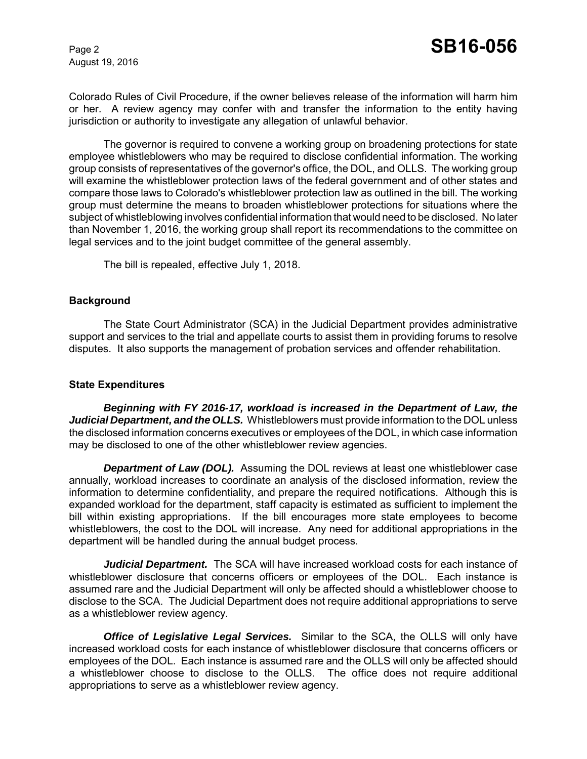August 19, 2016

Colorado Rules of Civil Procedure, if the owner believes release of the information will harm him or her. A review agency may confer with and transfer the information to the entity having jurisdiction or authority to investigate any allegation of unlawful behavior.

The governor is required to convene a working group on broadening protections for state employee whistleblowers who may be required to disclose confidential information. The working group consists of representatives of the governor's office, the DOL, and OLLS. The working group will examine the whistleblower protection laws of the federal government and of other states and compare those laws to Colorado's whistleblower protection law as outlined in the bill. The working group must determine the means to broaden whistleblower protections for situations where the subject of whistleblowing involves confidential information that would need to be disclosed. No later than November 1, 2016, the working group shall report its recommendations to the committee on legal services and to the joint budget committee of the general assembly.

The bill is repealed, effective July 1, 2018.

#### **Background**

The State Court Administrator (SCA) in the Judicial Department provides administrative support and services to the trial and appellate courts to assist them in providing forums to resolve disputes. It also supports the management of probation services and offender rehabilitation.

#### **State Expenditures**

*Beginning with FY 2016-17, workload is increased in the Department of Law, the Judicial Department, and the OLLS.* Whistleblowers must provide information to the DOL unless the disclosed information concerns executives or employees of the DOL, in which case information may be disclosed to one of the other whistleblower review agencies.

*Department of Law (DOL).* Assuming the DOL reviews at least one whistleblower case annually, workload increases to coordinate an analysis of the disclosed information, review the information to determine confidentiality, and prepare the required notifications. Although this is expanded workload for the department, staff capacity is estimated as sufficient to implement the bill within existing appropriations. If the bill encourages more state employees to become whistleblowers, the cost to the DOL will increase. Any need for additional appropriations in the department will be handled during the annual budget process.

*Judicial Department.* The SCA will have increased workload costs for each instance of whistleblower disclosure that concerns officers or employees of the DOL. Each instance is assumed rare and the Judicial Department will only be affected should a whistleblower choose to disclose to the SCA. The Judicial Department does not require additional appropriations to serve as a whistleblower review agency.

*Office of Legislative Legal Services.* Similar to the SCA, the OLLS will only have increased workload costs for each instance of whistleblower disclosure that concerns officers or employees of the DOL. Each instance is assumed rare and the OLLS will only be affected should a whistleblower choose to disclose to the OLLS. The office does not require additional appropriations to serve as a whistleblower review agency.